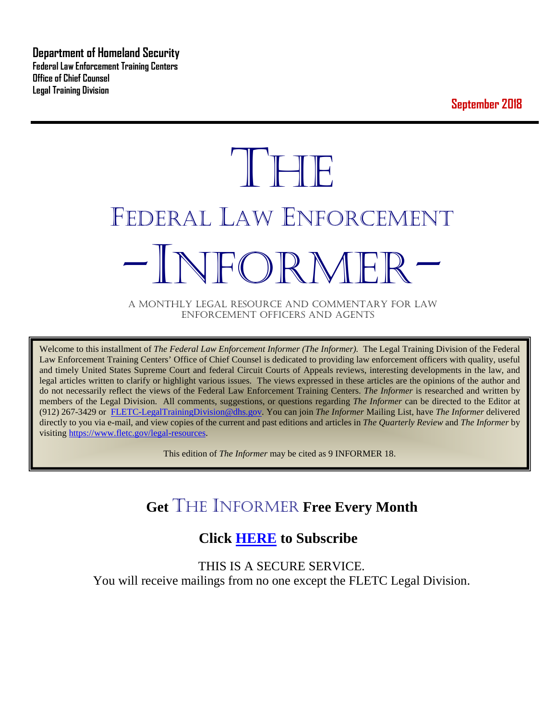**Department of Homeland Security Federal Law Enforcement Training Centers Office of Chief Counsel Legal Training Division** 

**September 2018**

# **THE** FEDERAL LAW ENFORCEMENT -INFORMER- A MONTHLY LEGAL RESOURCE AND COMMENTARY FOR LAW

ENFORCEMENT OFFICERS AND AGENTS

Welcome to this installment of *The Federal Law Enforcement Informer (The Informer).* The Legal Training Division of the Federal Law Enforcement Training Centers' Office of Chief Counsel is dedicated to providing law enforcement officers with quality, useful and timely United States Supreme Court and federal Circuit Courts of Appeals reviews, interesting developments in the law, and legal articles written to clarify or highlight various issues. The views expressed in these articles are the opinions of the author and do not necessarily reflect the views of the Federal Law Enforcement Training Centers. *The Informer* is researched and written by members of the Legal Division. All comments, suggestions, or questions regarding *The Informer* can be directed to the Editor at (912) 267-3429 or [FLETC-LegalTrainingDivision@dhs.gov.](mailto:FLETC-LegalTrainingDivision@dhs.gov) You can join *The Informer* Mailing List, have *The Informer* delivered directly to you via e-mail, and view copies of the current and past editions and articles in *The Quarterly Review* and *The Informer* by visiting [https://www.fletc.gov/legal-resources.](https://www.fletc.gov/legal-resources) 

This edition of *The Informer* may be cited as 9 INFORMER 18.

# **Get** THE INFORMER **Free Every Month**

# **Click [HERE](https://app.co-sender.com/opt-in/list/7b007eab-378b-4542-807f-44d6de94cb7e) to Subscribe**

THIS IS A SECURE SERVICE. You will receive mailings from no one except the FLETC Legal Division.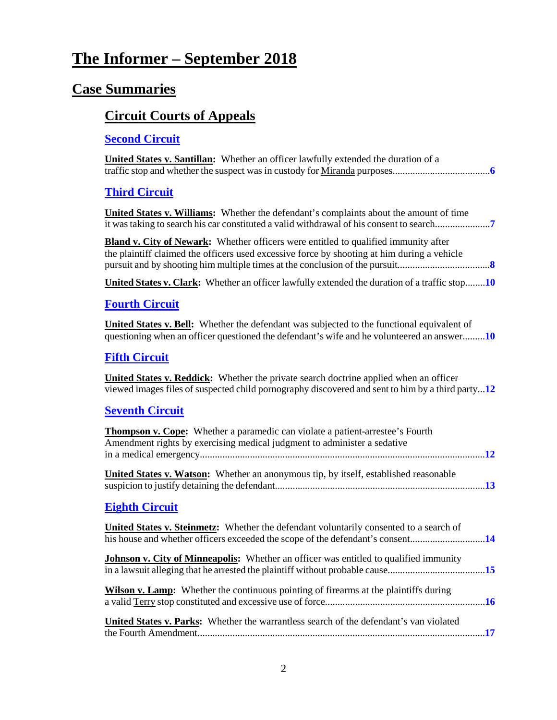# **The Informer – September 2018**

# **Case Summaries**

# **[Circuit Courts of Appeals](#page-5-0)**

### **[Second Circuit](#page-5-1)**

| <b>United States v. Santillan:</b> Whether an officer lawfully extended the duration of a                                                                                                        |
|--------------------------------------------------------------------------------------------------------------------------------------------------------------------------------------------------|
| <b>Third Circuit</b>                                                                                                                                                                             |
| <b>United States v. Williams:</b> Whether the defendant's complaints about the amount of time<br>it was taking to search his car constituted a valid withdrawal of his consent to search         |
| <b>Bland v. City of Newark:</b> Whether officers were entitled to qualified immunity after<br>the plaintiff claimed the officers used excessive force by shooting at him during a vehicle        |
| United States v. Clark: Whether an officer lawfully extended the duration of a traffic stop10                                                                                                    |
| <b>Fourth Circuit</b>                                                                                                                                                                            |
| <b>United States v. Bell:</b> Whether the defendant was subjected to the functional equivalent of<br>questioning when an officer questioned the defendant's wife and he volunteered an answer10  |
| <b>Fifth Circuit</b>                                                                                                                                                                             |
| <b>United States v. Reddick:</b> Whether the private search doctrine applied when an officer<br>viewed images files of suspected child pornography discovered and sent to him by a third party12 |
| <b>Seventh Circuit</b>                                                                                                                                                                           |
| <b>Thompson v. Cope:</b> Whether a paramedic can violate a patient-arrestee's Fourth<br>Amendment rights by exercising medical judgment to administer a sedative                                 |
| <b>United States v. Watson:</b> Whether an anonymous tip, by itself, established reasonable                                                                                                      |
| <b>Eighth Circuit</b>                                                                                                                                                                            |
| United States v. Steinmetz: Whether the defendant voluntarily consented to a search of<br>his house and whether officers exceeded the scope of the defendant's consent14                         |
| <b>Johnson v. City of Minneapolis:</b> Whether an officer was entitled to qualified immunity<br>in a lawsuit alleging that he arrested the plaintiff without probable cause15                    |
| <b>Wilson v. Lamp:</b> Whether the continuous pointing of firearms at the plaintiffs during                                                                                                      |
| <b>United States v. Parks:</b> Whether the warrantless search of the defendant's van violated                                                                                                    |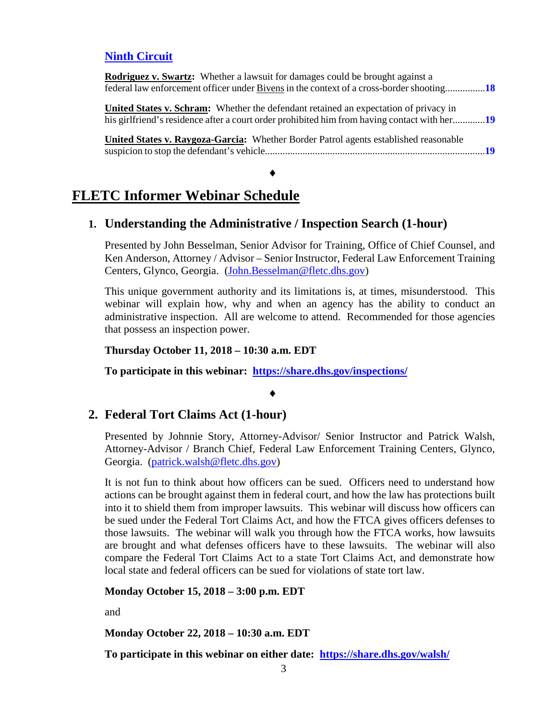#### **[Ninth Circuit](#page-17-0)**

| <b>Rodriguez v. Swartz:</b> Whether a lawsuit for damages could be brought against a                                                                                                      |
|-------------------------------------------------------------------------------------------------------------------------------------------------------------------------------------------|
| federal law enforcement officer under Bivens in the context of a cross-border shooting18                                                                                                  |
| <b>United States v. Schram:</b> Whether the defendant retained an expectation of privacy in<br>his girlfriend's residence after a court order prohibited him from having contact with her |
| United States v. Raygoza-Garcia: Whether Border Patrol agents established reasonable<br>$\blacksquare$ 10                                                                                 |

# **FLETC Informer Webinar Schedule**

#### **1. Understanding the Administrative / Inspection Search (1-hour)**

♦

Presented by John Besselman, Senior Advisor for Training, Office of Chief Counsel, and Ken Anderson, Attorney / Advisor – Senior Instructor, Federal Law Enforcement Training Centers, Glynco, Georgia. [\(John.Besselman@fletc.dhs.gov\)](mailto:John.Besselman@fletc.dhs.gov)

This unique government authority and its limitations is, at times, misunderstood. This webinar will explain how, why and when an agency has the ability to conduct an administrative inspection. All are welcome to attend. Recommended for those agencies that possess an inspection power.

**Thursday October 11, 2018 – 10:30 a.m. EDT**

**To participate in this webinar: <https://share.dhs.gov/inspections/>**

#### ♦

#### **2. Federal Tort Claims Act (1-hour)**

Presented by Johnnie Story, Attorney-Advisor/ Senior Instructor and Patrick Walsh, Attorney-Advisor / Branch Chief, Federal Law Enforcement Training Centers, Glynco, Georgia. [\(patrick.walsh@fletc.dhs.gov\)](mailto:patrick.walsh@fletc.dhs.gov)

It is not fun to think about how officers can be sued. Officers need to understand how actions can be brought against them in federal court, and how the law has protections built into it to shield them from improper lawsuits. This webinar will discuss how officers can be sued under the Federal Tort Claims Act, and how the FTCA gives officers defenses to those lawsuits. The webinar will walk you through how the FTCA works, how lawsuits are brought and what defenses officers have to these lawsuits. The webinar will also compare the Federal Tort Claims Act to a state Tort Claims Act, and demonstrate how local state and federal officers can be sued for violations of state tort law.

**Monday October 15, 2018 – 3:00 p.m. EDT**

and

**Monday October 22, 2018 – 10:30 a.m. EDT**

**To participate in this webinar on either date: <https://share.dhs.gov/walsh/>**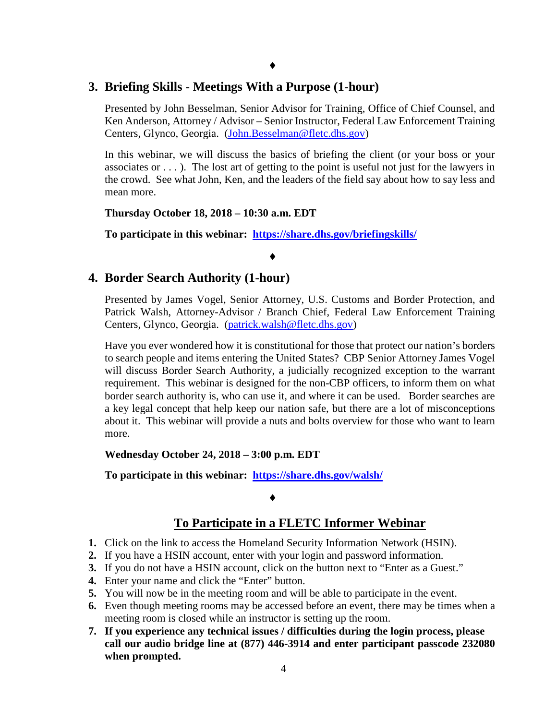#### **3. Briefing Skills - Meetings With a Purpose (1-hour)**

Presented by John Besselman, Senior Advisor for Training, Office of Chief Counsel, and Ken Anderson, Attorney / Advisor – Senior Instructor, Federal Law Enforcement Training Centers, Glynco, Georgia. [\(John.Besselman@fletc.dhs.gov\)](mailto:John.Besselman@fletc.dhs.gov)

In this webinar, we will discuss the basics of briefing the client (or your boss or your associates or . . . ). The lost art of getting to the point is useful not just for the lawyers in the crowd. See what John, Ken, and the leaders of the field say about how to say less and mean more.

**Thursday October 18, 2018 – 10:30 a.m. EDT**

**To participate in this webinar: <https://share.dhs.gov/briefingskills/>**

♦

#### **4. Border Search Authority (1-hour)**

Presented by James Vogel, Senior Attorney, U.S. Customs and Border Protection, and Patrick Walsh, Attorney-Advisor / Branch Chief, Federal Law Enforcement Training Centers, Glynco, Georgia. [\(patrick.walsh@fletc.dhs.gov\)](mailto:patrick.walsh@fletc.dhs.gov)

Have you ever wondered how it is constitutional for those that protect our nation's borders to search people and items entering the United States? CBP Senior Attorney James Vogel will discuss Border Search Authority, a judicially recognized exception to the warrant requirement. This webinar is designed for the non-CBP officers, to inform them on what border search authority is, who can use it, and where it can be used. Border searches are a key legal concept that help keep our nation safe, but there are a lot of misconceptions about it. This webinar will provide a nuts and bolts overview for those who want to learn more.

**Wednesday October 24, 2018 – 3:00 p.m. EDT**

**To participate in this webinar: <https://share.dhs.gov/walsh/>**

#### ♦

#### **To Participate in a FLETC Informer Webinar**

- **1.** Click on the link to access the Homeland Security Information Network (HSIN).
- **2.** If you have a HSIN account, enter with your login and password information.
- **3.** If you do not have a HSIN account, click on the button next to "Enter as a Guest."
- **4.** Enter your name and click the "Enter" button.
- **5.** You will now be in the meeting room and will be able to participate in the event.
- **6.** Even though meeting rooms may be accessed before an event, there may be times when a meeting room is closed while an instructor is setting up the room.
- **7. If you experience any technical issues / difficulties during the login process, please call our audio bridge line at (877) 446-3914 and enter participant passcode 232080 when prompted.**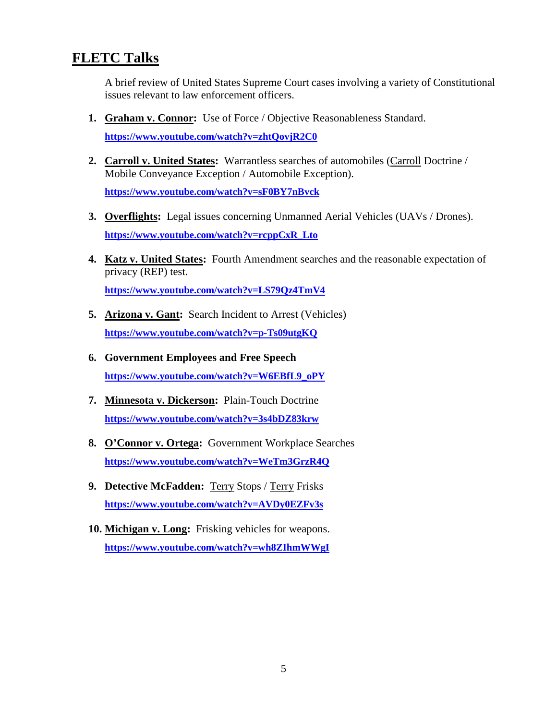# **FLETC Talks**

A brief review of United States Supreme Court cases involving a variety of Constitutional issues relevant to law enforcement officers.

- **1. Graham v. Connor:** Use of Force / Objective Reasonableness Standard. **<https://www.youtube.com/watch?v=zhtQovjR2C0>**
- **2. Carroll v. United States:** Warrantless searches of automobiles (Carroll Doctrine / Mobile Conveyance Exception / Automobile Exception). **<https://www.youtube.com/watch?v=sF0BY7nBvck>**
- **3. Overflights:** Legal issues concerning Unmanned Aerial Vehicles (UAVs / Drones). **[https://www.youtube.com/watch?v=rcppCxR\\_Lto](https://www.youtube.com/watch?v=rcppCxR_Lto)**
- **4. Katz v. United States:** Fourth Amendment searches and the reasonable expectation of privacy (REP) test.

**<https://www.youtube.com/watch?v=LS79Qz4TmV4>**

- **5. Arizona v. Gant:** Search Incident to Arrest (Vehicles) **<https://www.youtube.com/watch?v=p-Ts09utgKQ>**
- **6. Government Employees and Free Speech [https://www.youtube.com/watch?v=W6EBfL9\\_oPY](https://www.youtube.com/watch?v=W6EBfL9_oPY)**
- **7. Minnesota v. Dickerson:** Plain-Touch Doctrine **<https://www.youtube.com/watch?v=3s4bDZ83krw>**
- **8. O'Connor v. Ortega:** Government Workplace Searches **<https://www.youtube.com/watch?v=WeTm3GrzR4Q>**
- **9. Detective McFadden:** Terry Stops / Terry Frisks **<https://www.youtube.com/watch?v=AVDy0EZFv3s>**
- **10. Michigan v. Long:** Frisking vehicles for weapons. **<https://www.youtube.com/watch?v=wh8ZIhmWWgI>**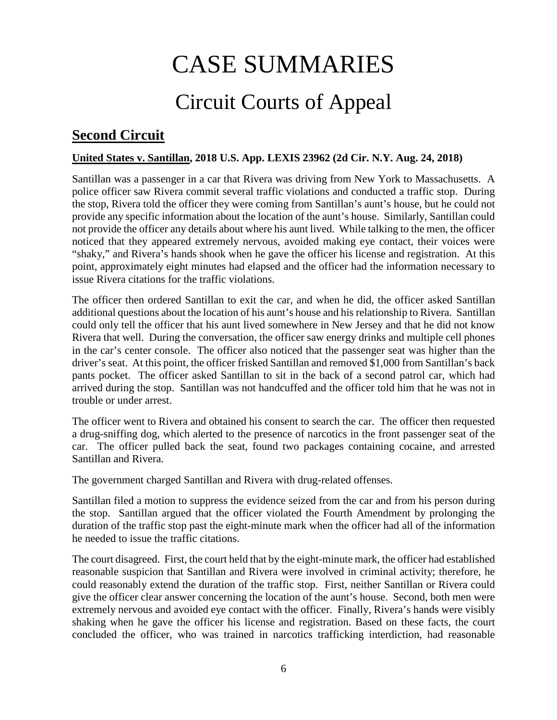# CASE SUMMARIES Circuit Courts of Appeal

# <span id="page-5-1"></span><span id="page-5-0"></span>**Second Circuit**

#### <span id="page-5-2"></span>**United States v. Santillan, 2018 U.S. App. LEXIS 23962 (2d Cir. N.Y. Aug. 24, 2018)**

Santillan was a passenger in a car that Rivera was driving from New York to Massachusetts. A police officer saw Rivera commit several traffic violations and conducted a traffic stop. During the stop, Rivera told the officer they were coming from Santillan's aunt's house, but he could not provide any specific information about the location of the aunt's house. Similarly, Santillan could not provide the officer any details about where his aunt lived. While talking to the men, the officer noticed that they appeared extremely nervous, avoided making eye contact, their voices were "shaky," and Rivera's hands shook when he gave the officer his license and registration. At this point, approximately eight minutes had elapsed and the officer had the information necessary to issue Rivera citations for the traffic violations.

The officer then ordered Santillan to exit the car, and when he did, the officer asked Santillan additional questions about the location of his aunt's house and his relationship to Rivera. Santillan could only tell the officer that his aunt lived somewhere in New Jersey and that he did not know Rivera that well. During the conversation, the officer saw energy drinks and multiple cell phones in the car's center console. The officer also noticed that the passenger seat was higher than the driver's seat. At this point, the officer frisked Santillan and removed \$1,000 from Santillan's back pants pocket. The officer asked Santillan to sit in the back of a second patrol car, which had arrived during the stop. Santillan was not handcuffed and the officer told him that he was not in trouble or under arrest.

The officer went to Rivera and obtained his consent to search the car. The officer then requested a drug-sniffing dog, which alerted to the presence of narcotics in the front passenger seat of the car. The officer pulled back the seat, found two packages containing cocaine, and arrested Santillan and Rivera.

The government charged Santillan and Rivera with drug-related offenses.

Santillan filed a motion to suppress the evidence seized from the car and from his person during the stop. Santillan argued that the officer violated the Fourth Amendment by prolonging the duration of the traffic stop past the eight-minute mark when the officer had all of the information he needed to issue the traffic citations.

The court disagreed. First, the court held that by the eight-minute mark, the officer had established reasonable suspicion that Santillan and Rivera were involved in criminal activity; therefore, he could reasonably extend the duration of the traffic stop. First, neither Santillan or Rivera could give the officer clear answer concerning the location of the aunt's house. Second, both men were extremely nervous and avoided eye contact with the officer. Finally, Rivera's hands were visibly shaking when he gave the officer his license and registration. Based on these facts, the court concluded the officer, who was trained in narcotics trafficking interdiction, had reasonable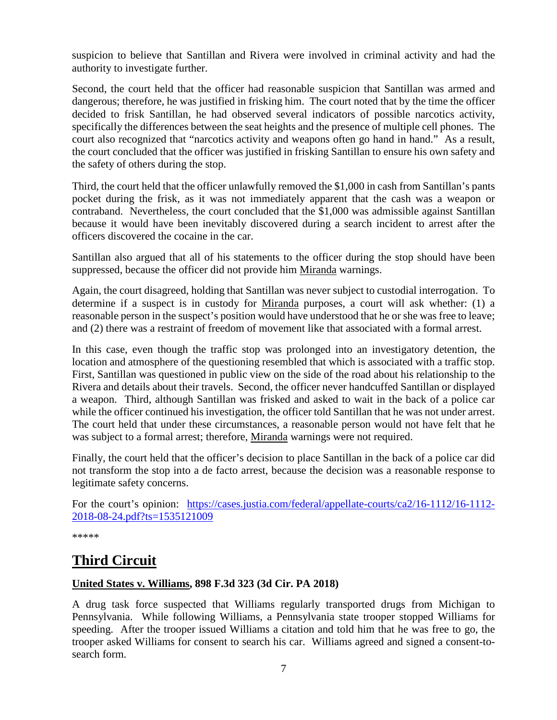suspicion to believe that Santillan and Rivera were involved in criminal activity and had the authority to investigate further.

Second, the court held that the officer had reasonable suspicion that Santillan was armed and dangerous; therefore, he was justified in frisking him. The court noted that by the time the officer decided to frisk Santillan, he had observed several indicators of possible narcotics activity, specifically the differences between the seat heights and the presence of multiple cell phones. The court also recognized that "narcotics activity and weapons often go hand in hand." As a result, the court concluded that the officer was justified in frisking Santillan to ensure his own safety and the safety of others during the stop.

Third, the court held that the officer unlawfully removed the \$1,000 in cash from Santillan's pants pocket during the frisk, as it was not immediately apparent that the cash was a weapon or contraband. Nevertheless, the court concluded that the \$1,000 was admissible against Santillan because it would have been inevitably discovered during a search incident to arrest after the officers discovered the cocaine in the car.

Santillan also argued that all of his statements to the officer during the stop should have been suppressed, because the officer did not provide him Miranda warnings.

Again, the court disagreed, holding that Santillan was never subject to custodial interrogation. To determine if a suspect is in custody for Miranda purposes, a court will ask whether: (1) a reasonable person in the suspect's position would have understood that he or she was free to leave; and (2) there was a restraint of freedom of movement like that associated with a formal arrest.

In this case, even though the traffic stop was prolonged into an investigatory detention, the location and atmosphere of the questioning resembled that which is associated with a traffic stop. First, Santillan was questioned in public view on the side of the road about his relationship to the Rivera and details about their travels. Second, the officer never handcuffed Santillan or displayed a weapon. Third, although Santillan was frisked and asked to wait in the back of a police car while the officer continued his investigation, the officer told Santillan that he was not under arrest. The court held that under these circumstances, a reasonable person would not have felt that he was subject to a formal arrest; therefore, Miranda warnings were not required.

Finally, the court held that the officer's decision to place Santillan in the back of a police car did not transform the stop into a de facto arrest, because the decision was a reasonable response to legitimate safety concerns.

For the court's opinion: [https://cases.justia.com/federal/appellate-courts/ca2/16-1112/16-1112-](https://cases.justia.com/federal/appellate-courts/ca2/16-1112/16-1112-2018-08-24.pdf?ts=1535121009) [2018-08-24.pdf?ts=1535121009](https://cases.justia.com/federal/appellate-courts/ca2/16-1112/16-1112-2018-08-24.pdf?ts=1535121009)

\*\*\*\*\*

# <span id="page-6-0"></span>**Third Circuit**

#### <span id="page-6-1"></span>**United States v. Williams, 898 F.3d 323 (3d Cir. PA 2018)**

A drug task force suspected that Williams regularly transported drugs from Michigan to Pennsylvania. While following Williams, a Pennsylvania state trooper stopped Williams for speeding. After the trooper issued Williams a citation and told him that he was free to go, the trooper asked Williams for consent to search his car. Williams agreed and signed a consent-tosearch form.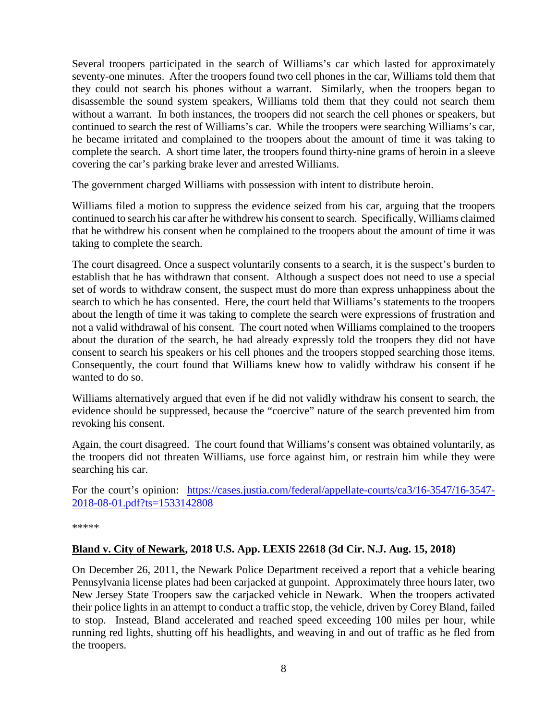Several troopers participated in the search of Williams's car which lasted for approximately seventy-one minutes. After the troopers found two cell phones in the car, Williams told them that they could not search his phones without a warrant. Similarly, when the troopers began to disassemble the sound system speakers, Williams told them that they could not search them without a warrant. In both instances, the troopers did not search the cell phones or speakers, but continued to search the rest of Williams's car. While the troopers were searching Williams's car, he became irritated and complained to the troopers about the amount of time it was taking to complete the search. A short time later, the troopers found thirty-nine grams of heroin in a sleeve covering the car's parking brake lever and arrested Williams.

The government charged Williams with possession with intent to distribute heroin.

Williams filed a motion to suppress the evidence seized from his car, arguing that the troopers continued to search his car after he withdrew his consent to search. Specifically, Williams claimed that he withdrew his consent when he complained to the troopers about the amount of time it was taking to complete the search.

The court disagreed. Once a suspect voluntarily consents to a search, it is the suspect's burden to establish that he has withdrawn that consent. Although a suspect does not need to use a special set of words to withdraw consent, the suspect must do more than express unhappiness about the search to which he has consented. Here, the court held that Williams's statements to the troopers about the length of time it was taking to complete the search were expressions of frustration and not a valid withdrawal of his consent. The court noted when Williams complained to the troopers about the duration of the search, he had already expressly told the troopers they did not have consent to search his speakers or his cell phones and the troopers stopped searching those items. Consequently, the court found that Williams knew how to validly withdraw his consent if he wanted to do so.

Williams alternatively argued that even if he did not validly withdraw his consent to search, the evidence should be suppressed, because the "coercive" nature of the search prevented him from revoking his consent.

Again, the court disagreed. The court found that Williams's consent was obtained voluntarily, as the troopers did not threaten Williams, use force against him, or restrain him while they were searching his car.

For the court's opinion: [https://cases.justia.com/federal/appellate-courts/ca3/16-3547/16-3547-](https://cases.justia.com/federal/appellate-courts/ca3/16-3547/16-3547-2018-08-01.pdf?ts=1533142808) [2018-08-01.pdf?ts=1533142808](https://cases.justia.com/federal/appellate-courts/ca3/16-3547/16-3547-2018-08-01.pdf?ts=1533142808)

\*\*\*\*\*

#### <span id="page-7-0"></span>**Bland v. City of Newark, 2018 U.S. App. LEXIS 22618 (3d Cir. N.J. Aug. 15, 2018)**

On December 26, 2011, the Newark Police Department received a report that a vehicle bearing Pennsylvania license plates had been carjacked at gunpoint. Approximately three hours later, two New Jersey State Troopers saw the carjacked vehicle in Newark. When the troopers activated their police lights in an attempt to conduct a traffic stop, the vehicle, driven by Corey Bland, failed to stop. Instead, Bland accelerated and reached speed exceeding 100 miles per hour, while running red lights, shutting off his headlights, and weaving in and out of traffic as he fled from the troopers.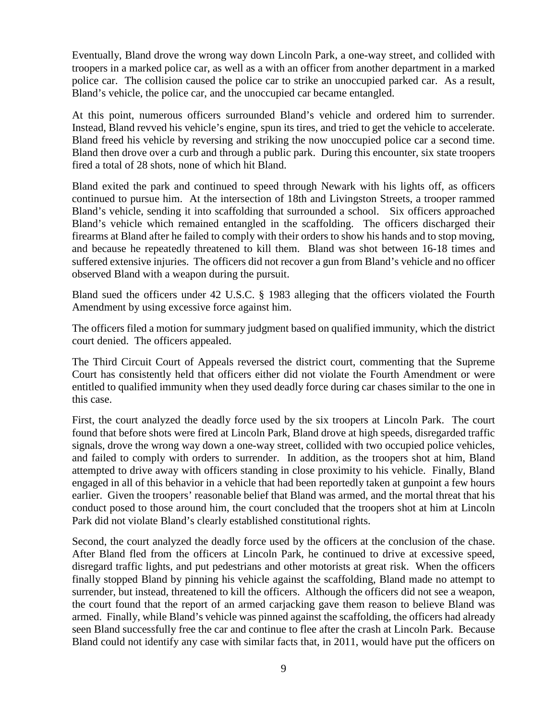Eventually, Bland drove the wrong way down Lincoln Park, a one-way street, and collided with troopers in a marked police car, as well as a with an officer from another department in a marked police car. The collision caused the police car to strike an unoccupied parked car. As a result, Bland's vehicle, the police car, and the unoccupied car became entangled.

At this point, numerous officers surrounded Bland's vehicle and ordered him to surrender. Instead, Bland revved his vehicle's engine, spun its tires, and tried to get the vehicle to accelerate. Bland freed his vehicle by reversing and striking the now unoccupied police car a second time. Bland then drove over a curb and through a public park. During this encounter, six state troopers fired a total of 28 shots, none of which hit Bland.

Bland exited the park and continued to speed through Newark with his lights off, as officers continued to pursue him. At the intersection of 18th and Livingston Streets, a trooper rammed Bland's vehicle, sending it into scaffolding that surrounded a school. Six officers approached Bland's vehicle which remained entangled in the scaffolding. The officers discharged their firearms at Bland after he failed to comply with their orders to show his hands and to stop moving, and because he repeatedly threatened to kill them. Bland was shot between 16-18 times and suffered extensive injuries. The officers did not recover a gun from Bland's vehicle and no officer observed Bland with a weapon during the pursuit.

Bland sued the officers under 42 U.S.C. § 1983 alleging that the officers violated the Fourth Amendment by using excessive force against him.

The officers filed a motion for summary judgment based on qualified immunity, which the district court denied. The officers appealed.

The Third Circuit Court of Appeals reversed the district court, commenting that the Supreme Court has consistently held that officers either did not violate the Fourth Amendment or were entitled to qualified immunity when they used deadly force during car chases similar to the one in this case.

First, the court analyzed the deadly force used by the six troopers at Lincoln Park. The court found that before shots were fired at Lincoln Park, Bland drove at high speeds, disregarded traffic signals, drove the wrong way down a one-way street, collided with two occupied police vehicles, and failed to comply with orders to surrender. In addition, as the troopers shot at him, Bland attempted to drive away with officers standing in close proximity to his vehicle. Finally, Bland engaged in all of this behavior in a vehicle that had been reportedly taken at gunpoint a few hours earlier. Given the troopers' reasonable belief that Bland was armed, and the mortal threat that his conduct posed to those around him, the court concluded that the troopers shot at him at Lincoln Park did not violate Bland's clearly established constitutional rights.

Second, the court analyzed the deadly force used by the officers at the conclusion of the chase. After Bland fled from the officers at Lincoln Park, he continued to drive at excessive speed, disregard traffic lights, and put pedestrians and other motorists at great risk. When the officers finally stopped Bland by pinning his vehicle against the scaffolding, Bland made no attempt to surrender, but instead, threatened to kill the officers. Although the officers did not see a weapon, the court found that the report of an armed carjacking gave them reason to believe Bland was armed. Finally, while Bland's vehicle was pinned against the scaffolding, the officers had already seen Bland successfully free the car and continue to flee after the crash at Lincoln Park. Because Bland could not identify any case with similar facts that, in 2011, would have put the officers on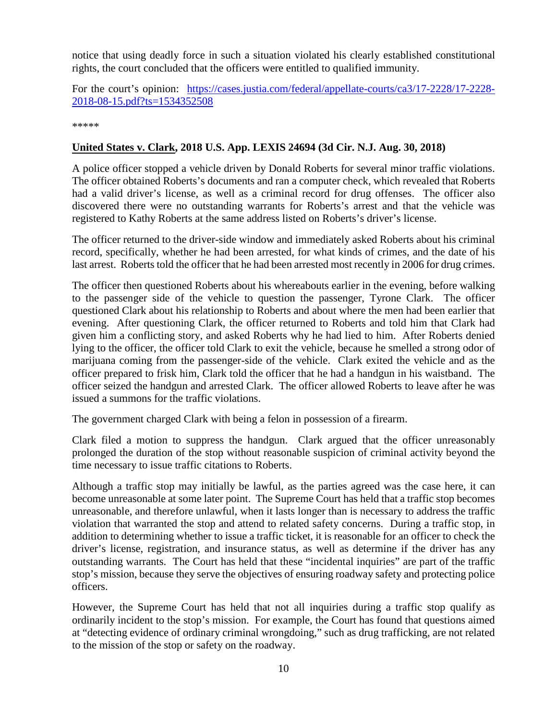notice that using deadly force in such a situation violated his clearly established constitutional rights, the court concluded that the officers were entitled to qualified immunity.

For the court's opinion: [https://cases.justia.com/federal/appellate-courts/ca3/17-2228/17-2228-](https://cases.justia.com/federal/appellate-courts/ca3/17-2228/17-2228-2018-08-15.pdf?ts=1534352508) [2018-08-15.pdf?ts=1534352508](https://cases.justia.com/federal/appellate-courts/ca3/17-2228/17-2228-2018-08-15.pdf?ts=1534352508)

\*\*\*\*\*

#### <span id="page-9-0"></span>**United States v. Clark, 2018 U.S. App. LEXIS 24694 (3d Cir. N.J. Aug. 30, 2018)**

A police officer stopped a vehicle driven by Donald Roberts for several minor traffic violations. The officer obtained Roberts's documents and ran a computer check, which revealed that Roberts had a valid driver's license, as well as a criminal record for drug offenses. The officer also discovered there were no outstanding warrants for Roberts's arrest and that the vehicle was registered to Kathy Roberts at the same address listed on Roberts's driver's license.

The officer returned to the driver-side window and immediately asked Roberts about his criminal record, specifically, whether he had been arrested, for what kinds of crimes, and the date of his last arrest. Roberts told the officer that he had been arrested most recently in 2006 for drug crimes.

The officer then questioned Roberts about his whereabouts earlier in the evening, before walking to the passenger side of the vehicle to question the passenger, Tyrone Clark. The officer questioned Clark about his relationship to Roberts and about where the men had been earlier that evening. After questioning Clark, the officer returned to Roberts and told him that Clark had given him a conflicting story, and asked Roberts why he had lied to him. After Roberts denied lying to the officer, the officer told Clark to exit the vehicle, because he smelled a strong odor of marijuana coming from the passenger-side of the vehicle. Clark exited the vehicle and as the officer prepared to frisk him, Clark told the officer that he had a handgun in his waistband. The officer seized the handgun and arrested Clark. The officer allowed Roberts to leave after he was issued a summons for the traffic violations.

The government charged Clark with being a felon in possession of a firearm.

Clark filed a motion to suppress the handgun. Clark argued that the officer unreasonably prolonged the duration of the stop without reasonable suspicion of criminal activity beyond the time necessary to issue traffic citations to Roberts.

Although a traffic stop may initially be lawful, as the parties agreed was the case here, it can become unreasonable at some later point. The Supreme Court has held that a traffic stop becomes unreasonable, and therefore unlawful, when it lasts longer than is necessary to address the traffic violation that warranted the stop and attend to related safety concerns. During a traffic stop, in addition to determining whether to issue a traffic ticket, it is reasonable for an officer to check the driver's license, registration, and insurance status, as well as determine if the driver has any outstanding warrants. The Court has held that these "incidental inquiries" are part of the traffic stop's mission, because they serve the objectives of ensuring roadway safety and protecting police officers.

However, the Supreme Court has held that not all inquiries during a traffic stop qualify as ordinarily incident to the stop's mission. For example, the Court has found that questions aimed at "detecting evidence of ordinary criminal wrongdoing," such as drug trafficking, are not related to the mission of the stop or safety on the roadway.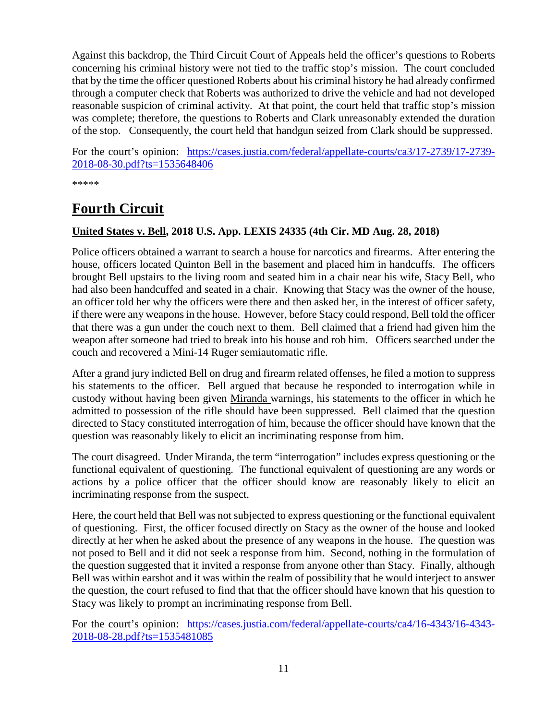Against this backdrop, the Third Circuit Court of Appeals held the officer's questions to Roberts concerning his criminal history were not tied to the traffic stop's mission. The court concluded that by the time the officer questioned Roberts about his criminal history he had already confirmed through a computer check that Roberts was authorized to drive the vehicle and had not developed reasonable suspicion of criminal activity. At that point, the court held that traffic stop's mission was complete; therefore, the questions to Roberts and Clark unreasonably extended the duration of the stop. Consequently, the court held that handgun seized from Clark should be suppressed.

For the court's opinion: [https://cases.justia.com/federal/appellate-courts/ca3/17-2739/17-2739-](https://cases.justia.com/federal/appellate-courts/ca3/17-2739/17-2739-2018-08-30.pdf?ts=1535648406) [2018-08-30.pdf?ts=1535648406](https://cases.justia.com/federal/appellate-courts/ca3/17-2739/17-2739-2018-08-30.pdf?ts=1535648406)

\*\*\*\*\*

# <span id="page-10-0"></span>**Fourth Circuit**

#### <span id="page-10-1"></span>**United States v. Bell, 2018 U.S. App. LEXIS 24335 (4th Cir. MD Aug. 28, 2018)**

Police officers obtained a warrant to search a house for narcotics and firearms. After entering the house, officers located Quinton Bell in the basement and placed him in handcuffs. The officers brought Bell upstairs to the living room and seated him in a chair near his wife, Stacy Bell, who had also been handcuffed and seated in a chair. Knowing that Stacy was the owner of the house, an officer told her why the officers were there and then asked her, in the interest of officer safety, if there were any weapons in the house. However, before Stacy could respond, Bell told the officer that there was a gun under the couch next to them. Bell claimed that a friend had given him the weapon after someone had tried to break into his house and rob him. Officers searched under the couch and recovered a Mini-14 Ruger semiautomatic rifle.

After a grand jury indicted Bell on drug and firearm related offenses, he filed a motion to suppress his statements to the officer. Bell argued that because he responded to interrogation while in custody without having been given Miranda warnings, his statements to the officer in which he admitted to possession of the rifle should have been suppressed. Bell claimed that the question directed to Stacy constituted interrogation of him, because the officer should have known that the question was reasonably likely to elicit an incriminating response from him.

The court disagreed. Under Miranda, the term "interrogation" includes express questioning or the functional equivalent of questioning. The functional equivalent of questioning are any words or actions by a police officer that the officer should know are reasonably likely to elicit an incriminating response from the suspect.

Here, the court held that Bell was not subjected to express questioning or the functional equivalent of questioning. First, the officer focused directly on Stacy as the owner of the house and looked directly at her when he asked about the presence of any weapons in the house. The question was not posed to Bell and it did not seek a response from him. Second, nothing in the formulation of the question suggested that it invited a response from anyone other than Stacy. Finally, although Bell was within earshot and it was within the realm of possibility that he would interject to answer the question, the court refused to find that that the officer should have known that his question to Stacy was likely to prompt an incriminating response from Bell.

For the court's opinion: [https://cases.justia.com/federal/appellate-courts/ca4/16-4343/16-4343-](https://cases.justia.com/federal/appellate-courts/ca4/16-4343/16-4343-2018-08-28.pdf?ts=1535481085) [2018-08-28.pdf?ts=1535481085](https://cases.justia.com/federal/appellate-courts/ca4/16-4343/16-4343-2018-08-28.pdf?ts=1535481085)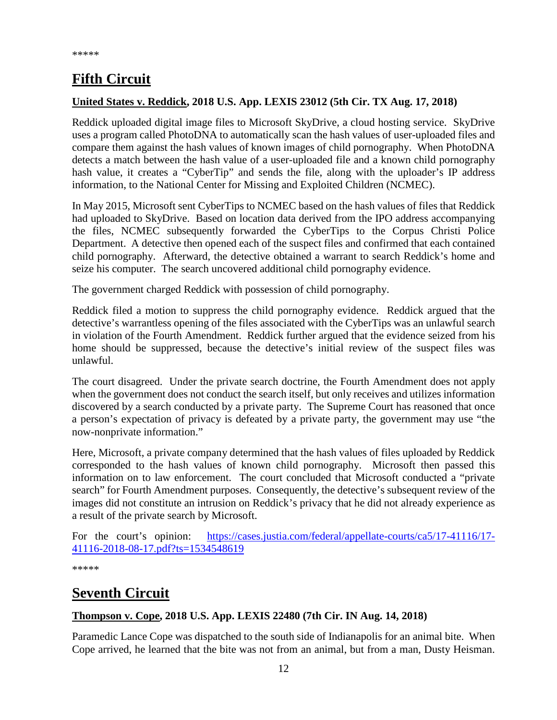# <span id="page-11-0"></span>**Fifth Circuit**

#### <span id="page-11-1"></span>**United States v. Reddick, 2018 U.S. App. LEXIS 23012 (5th Cir. TX Aug. 17, 2018)**

Reddick uploaded digital image files to Microsoft SkyDrive, a cloud hosting service. SkyDrive uses a program called PhotoDNA to automatically scan the hash values of user-uploaded files and compare them against the hash values of known images of child pornography. When PhotoDNA detects a match between the hash value of a user-uploaded file and a known child pornography hash value, it creates a "CyberTip" and sends the file, along with the uploader's IP address information, to the National Center for Missing and Exploited Children (NCMEC).

In May 2015, Microsoft sent CyberTips to NCMEC based on the hash values of files that Reddick had uploaded to SkyDrive. Based on location data derived from the IPO address accompanying the files, NCMEC subsequently forwarded the CyberTips to the Corpus Christi Police Department. A detective then opened each of the suspect files and confirmed that each contained child pornography. Afterward, the detective obtained a warrant to search Reddick's home and seize his computer. The search uncovered additional child pornography evidence.

The government charged Reddick with possession of child pornography.

Reddick filed a motion to suppress the child pornography evidence. Reddick argued that the detective's warrantless opening of the files associated with the CyberTips was an unlawful search in violation of the Fourth Amendment. Reddick further argued that the evidence seized from his home should be suppressed, because the detective's initial review of the suspect files was unlawful.

The court disagreed. Under the private search doctrine, the Fourth Amendment does not apply when the government does not conduct the search itself, but only receives and utilizes information discovered by a search conducted by a private party. The Supreme Court has reasoned that once a person's expectation of privacy is defeated by a private party, the government may use "the now-nonprivate information."

Here, Microsoft, a private company determined that the hash values of files uploaded by Reddick corresponded to the hash values of known child pornography. Microsoft then passed this information on to law enforcement. The court concluded that Microsoft conducted a "private search" for Fourth Amendment purposes. Consequently, the detective's subsequent review of the images did not constitute an intrusion on Reddick's privacy that he did not already experience as a result of the private search by Microsoft.

For the court's opinion: [https://cases.justia.com/federal/appellate-courts/ca5/17-41116/17-](https://cases.justia.com/federal/appellate-courts/ca5/17-41116/17-41116-2018-08-17.pdf?ts=1534548619) [41116-2018-08-17.pdf?ts=1534548619](https://cases.justia.com/federal/appellate-courts/ca5/17-41116/17-41116-2018-08-17.pdf?ts=1534548619)

\*\*\*\*\*

# <span id="page-11-2"></span>**Seventh Circuit**

#### <span id="page-11-3"></span>**Thompson v. Cope, 2018 U.S. App. LEXIS 22480 (7th Cir. IN Aug. 14, 2018)**

Paramedic Lance Cope was dispatched to the south side of Indianapolis for an animal bite. When Cope arrived, he learned that the bite was not from an animal, but from a man, Dusty Heisman.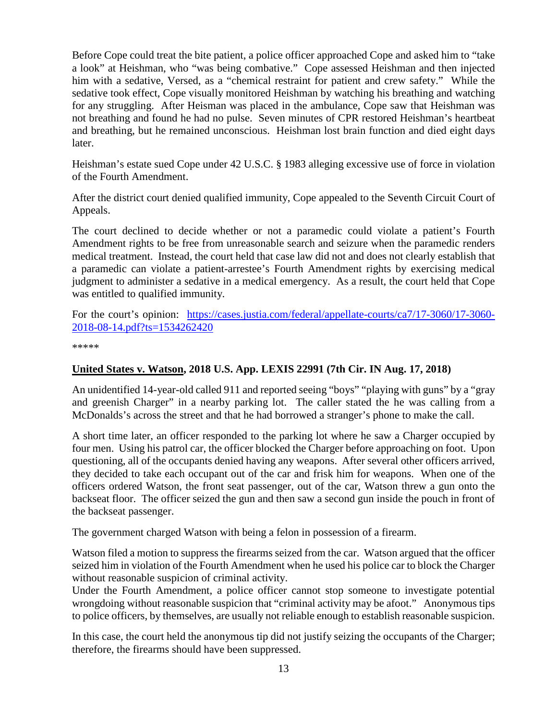Before Cope could treat the bite patient, a police officer approached Cope and asked him to "take a look" at Heishman, who "was being combative." Cope assessed Heishman and then injected him with a sedative, Versed, as a "chemical restraint for patient and crew safety." While the sedative took effect, Cope visually monitored Heishman by watching his breathing and watching for any struggling. After Heisman was placed in the ambulance, Cope saw that Heishman was not breathing and found he had no pulse. Seven minutes of CPR restored Heishman's heartbeat and breathing, but he remained unconscious. Heishman lost brain function and died eight days later.

Heishman's estate sued Cope under 42 U.S.C. § 1983 alleging excessive use of force in violation of the Fourth Amendment.

After the district court denied qualified immunity, Cope appealed to the Seventh Circuit Court of Appeals.

The court declined to decide whether or not a paramedic could violate a patient's Fourth Amendment rights to be free from unreasonable search and seizure when the paramedic renders medical treatment. Instead, the court held that case law did not and does not clearly establish that a paramedic can violate a patient-arrestee's Fourth Amendment rights by exercising medical judgment to administer a sedative in a medical emergency. As a result, the court held that Cope was entitled to qualified immunity.

For the court's opinion: [https://cases.justia.com/federal/appellate-courts/ca7/17-3060/17-3060-](https://cases.justia.com/federal/appellate-courts/ca7/17-3060/17-3060-2018-08-14.pdf?ts=1534262420) [2018-08-14.pdf?ts=1534262420](https://cases.justia.com/federal/appellate-courts/ca7/17-3060/17-3060-2018-08-14.pdf?ts=1534262420)

\*\*\*\*\*

#### **United States v. Watson, 2018 U.S. App. LEXIS 22991 (7th Cir. IN Aug. 17, 2018)**

An unidentified 14-year-old called 911 and reported seeing "boys" "playing with guns" by a "gray and greenish Charger" in a nearby parking lot. The caller stated the he was calling from a McDonalds's across the street and that he had borrowed a stranger's phone to make the call.

A short time later, an officer responded to the parking lot where he saw a Charger occupied by four men. Using his patrol car, the officer blocked the Charger before approaching on foot. Upon questioning, all of the occupants denied having any weapons. After several other officers arrived, they decided to take each occupant out of the car and frisk him for weapons. When one of the officers ordered Watson, the front seat passenger, out of the car, Watson threw a gun onto the backseat floor. The officer seized the gun and then saw a second gun inside the pouch in front of the backseat passenger.

The government charged Watson with being a felon in possession of a firearm.

Watson filed a motion to suppress the firearms seized from the car. Watson argued that the officer seized him in violation of the Fourth Amendment when he used his police car to block the Charger without reasonable suspicion of criminal activity.

Under the Fourth Amendment, a police officer cannot stop someone to investigate potential wrongdoing without reasonable suspicion that "criminal activity may be afoot." Anonymous tips to police officers, by themselves, are usually not reliable enough to establish reasonable suspicion.

In this case, the court held the anonymous tip did not justify seizing the occupants of the Charger; therefore, the firearms should have been suppressed.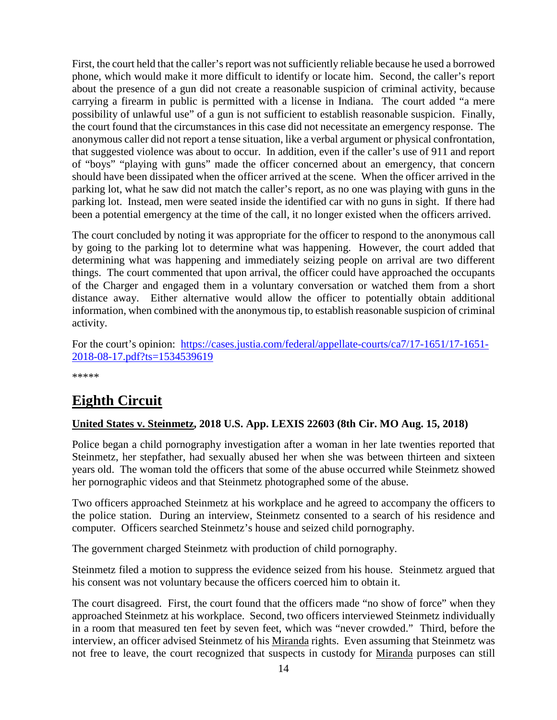First, the court held that the caller's report was not sufficiently reliable because he used a borrowed phone, which would make it more difficult to identify or locate him. Second, the caller's report about the presence of a gun did not create a reasonable suspicion of criminal activity, because carrying a firearm in public is permitted with a license in Indiana. The court added "a mere possibility of unlawful use" of a gun is not sufficient to establish reasonable suspicion. Finally, the court found that the circumstances in this case did not necessitate an emergency response. The anonymous caller did not report a tense situation, like a verbal argument or physical confrontation, that suggested violence was about to occur. In addition, even if the caller's use of 911 and report of "boys" "playing with guns" made the officer concerned about an emergency, that concern should have been dissipated when the officer arrived at the scene. When the officer arrived in the parking lot, what he saw did not match the caller's report, as no one was playing with guns in the parking lot. Instead, men were seated inside the identified car with no guns in sight. If there had been a potential emergency at the time of the call, it no longer existed when the officers arrived.

The court concluded by noting it was appropriate for the officer to respond to the anonymous call by going to the parking lot to determine what was happening. However, the court added that determining what was happening and immediately seizing people on arrival are two different things. The court commented that upon arrival, the officer could have approached the occupants of the Charger and engaged them in a voluntary conversation or watched them from a short distance away. Either alternative would allow the officer to potentially obtain additional information, when combined with the anonymous tip, to establish reasonable suspicion of criminal activity.

For the court's opinion: [https://cases.justia.com/federal/appellate-courts/ca7/17-1651/17-1651-](https://cases.justia.com/federal/appellate-courts/ca7/17-1651/17-1651-2018-08-17.pdf?ts=1534539619) [2018-08-17.pdf?ts=1534539619](https://cases.justia.com/federal/appellate-courts/ca7/17-1651/17-1651-2018-08-17.pdf?ts=1534539619)

\*\*\*\*\*

# <span id="page-13-0"></span>**Eighth Circuit**

#### <span id="page-13-1"></span>**United States v. Steinmetz, 2018 U.S. App. LEXIS 22603 (8th Cir. MO Aug. 15, 2018)**

Police began a child pornography investigation after a woman in her late twenties reported that Steinmetz, her stepfather, had sexually abused her when she was between thirteen and sixteen years old. The woman told the officers that some of the abuse occurred while Steinmetz showed her pornographic videos and that Steinmetz photographed some of the abuse.

Two officers approached Steinmetz at his workplace and he agreed to accompany the officers to the police station. During an interview, Steinmetz consented to a search of his residence and computer. Officers searched Steinmetz's house and seized child pornography.

The government charged Steinmetz with production of child pornography.

Steinmetz filed a motion to suppress the evidence seized from his house. Steinmetz argued that his consent was not voluntary because the officers coerced him to obtain it.

The court disagreed. First, the court found that the officers made "no show of force" when they approached Steinmetz at his workplace. Second, two officers interviewed Steinmetz individually in a room that measured ten feet by seven feet, which was "never crowded." Third, before the interview, an officer advised Steinmetz of his Miranda rights. Even assuming that Steinmetz was not free to leave, the court recognized that suspects in custody for Miranda purposes can still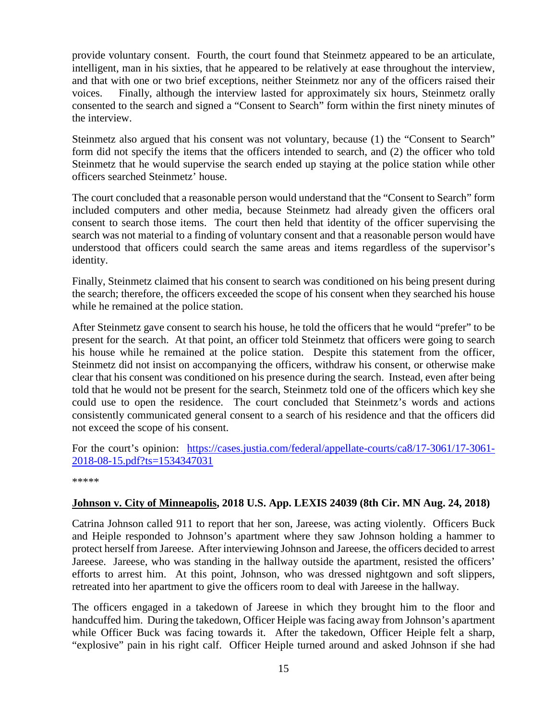provide voluntary consent. Fourth, the court found that Steinmetz appeared to be an articulate, intelligent, man in his sixties, that he appeared to be relatively at ease throughout the interview, and that with one or two brief exceptions, neither Steinmetz nor any of the officers raised their voices. Finally, although the interview lasted for approximately six hours, Steinmetz orally consented to the search and signed a "Consent to Search" form within the first ninety minutes of the interview.

Steinmetz also argued that his consent was not voluntary, because (1) the "Consent to Search" form did not specify the items that the officers intended to search, and (2) the officer who told Steinmetz that he would supervise the search ended up staying at the police station while other officers searched Steinmetz' house.

The court concluded that a reasonable person would understand that the "Consent to Search" form included computers and other media, because Steinmetz had already given the officers oral consent to search those items. The court then held that identity of the officer supervising the search was not material to a finding of voluntary consent and that a reasonable person would have understood that officers could search the same areas and items regardless of the supervisor's identity.

Finally, Steinmetz claimed that his consent to search was conditioned on his being present during the search; therefore, the officers exceeded the scope of his consent when they searched his house while he remained at the police station.

After Steinmetz gave consent to search his house, he told the officers that he would "prefer" to be present for the search. At that point, an officer told Steinmetz that officers were going to search his house while he remained at the police station. Despite this statement from the officer, Steinmetz did not insist on accompanying the officers, withdraw his consent, or otherwise make clear that his consent was conditioned on his presence during the search. Instead, even after being told that he would not be present for the search, Steinmetz told one of the officers which key she could use to open the residence. The court concluded that Steinmetz's words and actions consistently communicated general consent to a search of his residence and that the officers did not exceed the scope of his consent.

For the court's opinion: [https://cases.justia.com/federal/appellate-courts/ca8/17-3061/17-3061-](https://cases.justia.com/federal/appellate-courts/ca8/17-3061/17-3061-2018-08-15.pdf?ts=1534347031) [2018-08-15.pdf?ts=1534347031](https://cases.justia.com/federal/appellate-courts/ca8/17-3061/17-3061-2018-08-15.pdf?ts=1534347031)

\*\*\*\*\*

#### <span id="page-14-0"></span>**Johnson v. City of Minneapolis, 2018 U.S. App. LEXIS 24039 (8th Cir. MN Aug. 24, 2018)**

Catrina Johnson called 911 to report that her son, Jareese, was acting violently. Officers Buck and Heiple responded to Johnson's apartment where they saw Johnson holding a hammer to protect herself from Jareese. After interviewing Johnson and Jareese, the officers decided to arrest Jareese. Jareese, who was standing in the hallway outside the apartment, resisted the officers' efforts to arrest him. At this point, Johnson, who was dressed nightgown and soft slippers, retreated into her apartment to give the officers room to deal with Jareese in the hallway.

The officers engaged in a takedown of Jareese in which they brought him to the floor and handcuffed him. During the takedown, Officer Heiple was facing away from Johnson's apartment while Officer Buck was facing towards it. After the takedown, Officer Heiple felt a sharp, "explosive" pain in his right calf. Officer Heiple turned around and asked Johnson if she had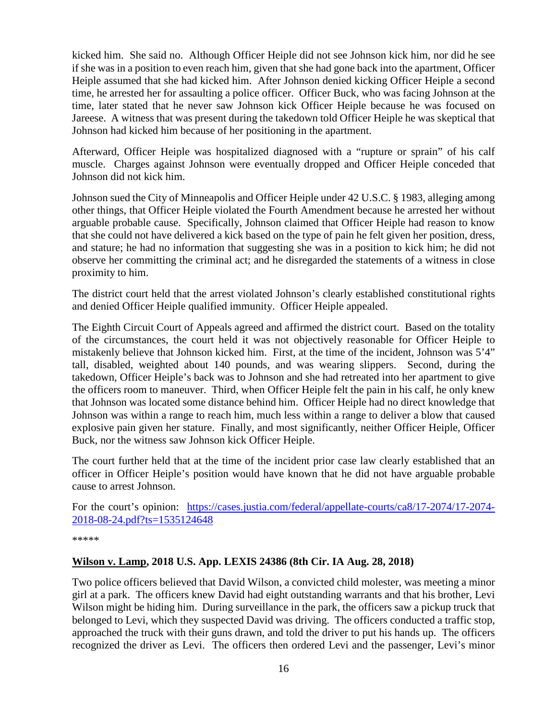kicked him. She said no. Although Officer Heiple did not see Johnson kick him, nor did he see if she was in a position to even reach him, given that she had gone back into the apartment, Officer Heiple assumed that she had kicked him. After Johnson denied kicking Officer Heiple a second time, he arrested her for assaulting a police officer. Officer Buck, who was facing Johnson at the time, later stated that he never saw Johnson kick Officer Heiple because he was focused on Jareese. A witness that was present during the takedown told Officer Heiple he was skeptical that Johnson had kicked him because of her positioning in the apartment.

Afterward, Officer Heiple was hospitalized diagnosed with a "rupture or sprain" of his calf muscle. Charges against Johnson were eventually dropped and Officer Heiple conceded that Johnson did not kick him.

Johnson sued the City of Minneapolis and Officer Heiple under 42 U.S.C. § 1983, alleging among other things, that Officer Heiple violated the Fourth Amendment because he arrested her without arguable probable cause. Specifically, Johnson claimed that Officer Heiple had reason to know that she could not have delivered a kick based on the type of pain he felt given her position, dress, and stature; he had no information that suggesting she was in a position to kick him; he did not observe her committing the criminal act; and he disregarded the statements of a witness in close proximity to him.

The district court held that the arrest violated Johnson's clearly established constitutional rights and denied Officer Heiple qualified immunity. Officer Heiple appealed.

The Eighth Circuit Court of Appeals agreed and affirmed the district court. Based on the totality of the circumstances, the court held it was not objectively reasonable for Officer Heiple to mistakenly believe that Johnson kicked him. First, at the time of the incident, Johnson was 5'4" tall, disabled, weighted about 140 pounds, and was wearing slippers. Second, during the takedown, Officer Heiple's back was to Johnson and she had retreated into her apartment to give the officers room to maneuver. Third, when Officer Heiple felt the pain in his calf, he only knew that Johnson was located some distance behind him. Officer Heiple had no direct knowledge that Johnson was within a range to reach him, much less within a range to deliver a blow that caused explosive pain given her stature. Finally, and most significantly, neither Officer Heiple, Officer Buck, nor the witness saw Johnson kick Officer Heiple.

The court further held that at the time of the incident prior case law clearly established that an officer in Officer Heiple's position would have known that he did not have arguable probable cause to arrest Johnson.

For the court's opinion: [https://cases.justia.com/federal/appellate-courts/ca8/17-2074/17-2074-](https://cases.justia.com/federal/appellate-courts/ca8/17-2074/17-2074-2018-08-24.pdf?ts=1535124648) [2018-08-24.pdf?ts=1535124648](https://cases.justia.com/federal/appellate-courts/ca8/17-2074/17-2074-2018-08-24.pdf?ts=1535124648)

\*\*\*\*\*

#### <span id="page-15-0"></span>**Wilson v. Lamp, 2018 U.S. App. LEXIS 24386 (8th Cir. IA Aug. 28, 2018)**

Two police officers believed that David Wilson, a convicted child molester, was meeting a minor girl at a park. The officers knew David had eight outstanding warrants and that his brother, Levi Wilson might be hiding him. During surveillance in the park, the officers saw a pickup truck that belonged to Levi, which they suspected David was driving. The officers conducted a traffic stop, approached the truck with their guns drawn, and told the driver to put his hands up. The officers recognized the driver as Levi. The officers then ordered Levi and the passenger, Levi's minor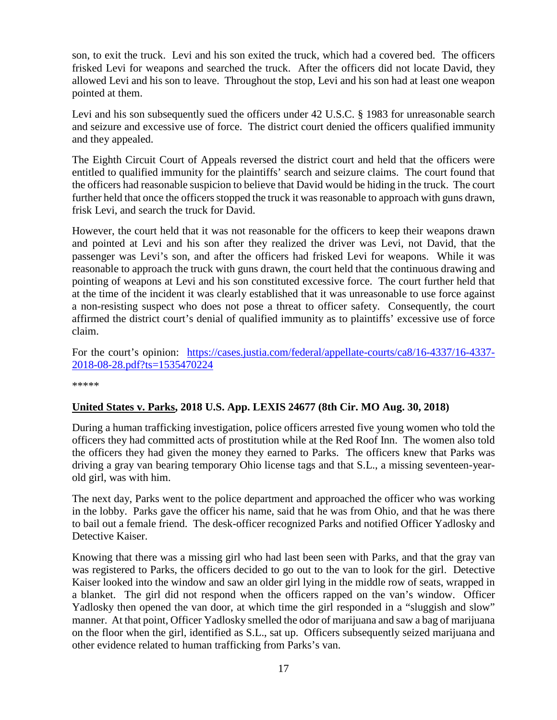son, to exit the truck. Levi and his son exited the truck, which had a covered bed. The officers frisked Levi for weapons and searched the truck. After the officers did not locate David, they allowed Levi and his son to leave. Throughout the stop, Levi and his son had at least one weapon pointed at them.

Levi and his son subsequently sued the officers under 42 U.S.C. § 1983 for unreasonable search and seizure and excessive use of force. The district court denied the officers qualified immunity and they appealed.

The Eighth Circuit Court of Appeals reversed the district court and held that the officers were entitled to qualified immunity for the plaintiffs' search and seizure claims. The court found that the officers had reasonable suspicion to believe that David would be hiding in the truck. The court further held that once the officers stopped the truck it was reasonable to approach with guns drawn, frisk Levi, and search the truck for David.

However, the court held that it was not reasonable for the officers to keep their weapons drawn and pointed at Levi and his son after they realized the driver was Levi, not David, that the passenger was Levi's son, and after the officers had frisked Levi for weapons. While it was reasonable to approach the truck with guns drawn, the court held that the continuous drawing and pointing of weapons at Levi and his son constituted excessive force. The court further held that at the time of the incident it was clearly established that it was unreasonable to use force against a non-resisting suspect who does not pose a threat to officer safety. Consequently, the court affirmed the district court's denial of qualified immunity as to plaintiffs' excessive use of force claim.

For the court's opinion: [https://cases.justia.com/federal/appellate-courts/ca8/16-4337/16-4337-](https://cases.justia.com/federal/appellate-courts/ca8/16-4337/16-4337-2018-08-28.pdf?ts=1535470224) [2018-08-28.pdf?ts=1535470224](https://cases.justia.com/federal/appellate-courts/ca8/16-4337/16-4337-2018-08-28.pdf?ts=1535470224)

\*\*\*\*\*

#### <span id="page-16-0"></span>**United States v. Parks, 2018 U.S. App. LEXIS 24677 (8th Cir. MO Aug. 30, 2018)**

During a human trafficking investigation, police officers arrested five young women who told the officers they had committed acts of prostitution while at the Red Roof Inn. The women also told the officers they had given the money they earned to Parks. The officers knew that Parks was driving a gray van bearing temporary Ohio license tags and that S.L., a missing seventeen-yearold girl, was with him.

The next day, Parks went to the police department and approached the officer who was working in the lobby. Parks gave the officer his name, said that he was from Ohio, and that he was there to bail out a female friend. The desk-officer recognized Parks and notified Officer Yadlosky and Detective Kaiser.

Knowing that there was a missing girl who had last been seen with Parks, and that the gray van was registered to Parks, the officers decided to go out to the van to look for the girl. Detective Kaiser looked into the window and saw an older girl lying in the middle row of seats, wrapped in a blanket. The girl did not respond when the officers rapped on the van's window. Officer Yadlosky then opened the van door, at which time the girl responded in a "sluggish and slow" manner. At that point, Officer Yadlosky smelled the odor of marijuana and saw a bag of marijuana on the floor when the girl, identified as S.L., sat up. Officers subsequently seized marijuana and other evidence related to human trafficking from Parks's van.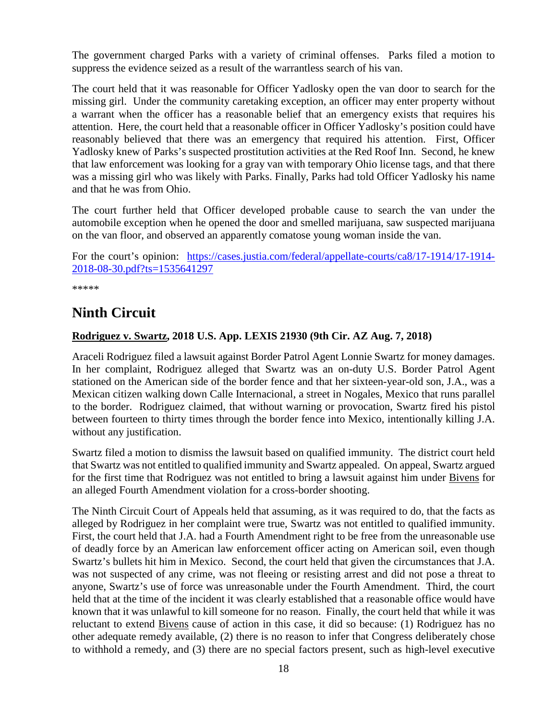The government charged Parks with a variety of criminal offenses. Parks filed a motion to suppress the evidence seized as a result of the warrantless search of his van.

The court held that it was reasonable for Officer Yadlosky open the van door to search for the missing girl. Under the community caretaking exception, an officer may enter property without a warrant when the officer has a reasonable belief that an emergency exists that requires his attention. Here, the court held that a reasonable officer in Officer Yadlosky's position could have reasonably believed that there was an emergency that required his attention. First, Officer Yadlosky knew of Parks's suspected prostitution activities at the Red Roof Inn. Second, he knew that law enforcement was looking for a gray van with temporary Ohio license tags, and that there was a missing girl who was likely with Parks. Finally, Parks had told Officer Yadlosky his name and that he was from Ohio.

The court further held that Officer developed probable cause to search the van under the automobile exception when he opened the door and smelled marijuana, saw suspected marijuana on the van floor, and observed an apparently comatose young woman inside the van.

For the court's opinion: [https://cases.justia.com/federal/appellate-courts/ca8/17-1914/17-1914-](https://cases.justia.com/federal/appellate-courts/ca8/17-1914/17-1914-2018-08-30.pdf?ts=1535641297) [2018-08-30.pdf?ts=1535641297](https://cases.justia.com/federal/appellate-courts/ca8/17-1914/17-1914-2018-08-30.pdf?ts=1535641297)

\*\*\*\*\*

# <span id="page-17-0"></span>**Ninth Circuit**

#### <span id="page-17-1"></span>**Rodriguez v. Swartz, 2018 U.S. App. LEXIS 21930 (9th Cir. AZ Aug. 7, 2018)**

Araceli Rodriguez filed a lawsuit against Border Patrol Agent Lonnie Swartz for money damages. In her complaint, Rodriguez alleged that Swartz was an on-duty U.S. Border Patrol Agent stationed on the American side of the border fence and that her sixteen-year-old son, J.A., was a Mexican citizen walking down Calle Internacional, a street in Nogales, Mexico that runs parallel to the border. Rodriguez claimed, that without warning or provocation, Swartz fired his pistol between fourteen to thirty times through the border fence into Mexico, intentionally killing J.A. without any justification.

Swartz filed a motion to dismiss the lawsuit based on qualified immunity. The district court held that Swartz was not entitled to qualified immunity and Swartz appealed. On appeal, Swartz argued for the first time that Rodriguez was not entitled to bring a lawsuit against him under Bivens for an alleged Fourth Amendment violation for a cross-border shooting.

The Ninth Circuit Court of Appeals held that assuming, as it was required to do, that the facts as alleged by Rodriguez in her complaint were true, Swartz was not entitled to qualified immunity. First, the court held that J.A. had a Fourth Amendment right to be free from the unreasonable use of deadly force by an American law enforcement officer acting on American soil, even though Swartz's bullets hit him in Mexico. Second, the court held that given the circumstances that J.A. was not suspected of any crime, was not fleeing or resisting arrest and did not pose a threat to anyone, Swartz's use of force was unreasonable under the Fourth Amendment. Third, the court held that at the time of the incident it was clearly established that a reasonable office would have known that it was unlawful to kill someone for no reason. Finally, the court held that while it was reluctant to extend Bivens cause of action in this case, it did so because: (1) Rodriguez has no other adequate remedy available, (2) there is no reason to infer that Congress deliberately chose to withhold a remedy, and (3) there are no special factors present, such as high-level executive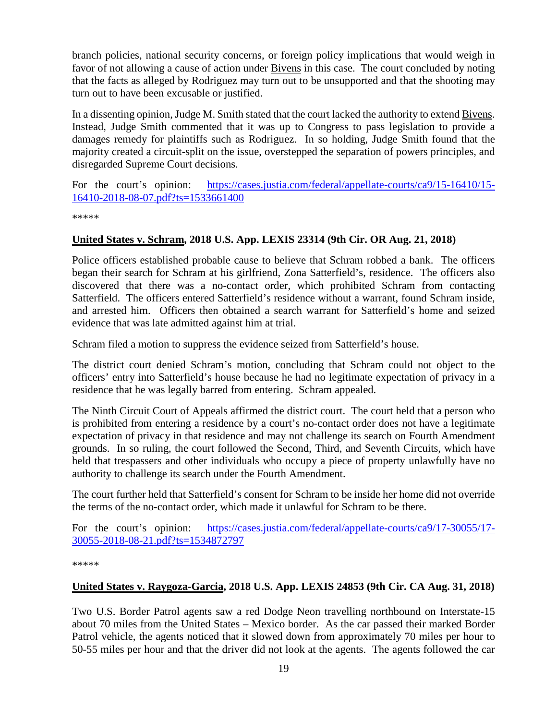branch policies, national security concerns, or foreign policy implications that would weigh in favor of not allowing a cause of action under **Bivens** in this case. The court concluded by noting that the facts as alleged by Rodriguez may turn out to be unsupported and that the shooting may turn out to have been excusable or justified.

In a dissenting opinion, Judge M. Smith stated that the court lacked the authority to extend Bivens. Instead, Judge Smith commented that it was up to Congress to pass legislation to provide a damages remedy for plaintiffs such as Rodriguez. In so holding, Judge Smith found that the majority created a circuit-split on the issue, overstepped the separation of powers principles, and disregarded Supreme Court decisions.

For the court's opinion: [https://cases.justia.com/federal/appellate-courts/ca9/15-16410/15-](https://cases.justia.com/federal/appellate-courts/ca9/15-16410/15-16410-2018-08-07.pdf?ts=1533661400) [16410-2018-08-07.pdf?ts=1533661400](https://cases.justia.com/federal/appellate-courts/ca9/15-16410/15-16410-2018-08-07.pdf?ts=1533661400)

\*\*\*\*\*

#### <span id="page-18-0"></span>**United States v. Schram, 2018 U.S. App. LEXIS 23314 (9th Cir. OR Aug. 21, 2018)**

Police officers established probable cause to believe that Schram robbed a bank. The officers began their search for Schram at his girlfriend, Zona Satterfield's, residence. The officers also discovered that there was a no-contact order, which prohibited Schram from contacting Satterfield. The officers entered Satterfield's residence without a warrant, found Schram inside, and arrested him. Officers then obtained a search warrant for Satterfield's home and seized evidence that was late admitted against him at trial.

Schram filed a motion to suppress the evidence seized from Satterfield's house.

The district court denied Schram's motion, concluding that Schram could not object to the officers' entry into Satterfield's house because he had no legitimate expectation of privacy in a residence that he was legally barred from entering. Schram appealed.

The Ninth Circuit Court of Appeals affirmed the district court. The court held that a person who is prohibited from entering a residence by a court's no-contact order does not have a legitimate expectation of privacy in that residence and may not challenge its search on Fourth Amendment grounds. In so ruling, the court followed the Second, Third, and Seventh Circuits, which have held that trespassers and other individuals who occupy a piece of property unlawfully have no authority to challenge its search under the Fourth Amendment.

The court further held that Satterfield's consent for Schram to be inside her home did not override the terms of the no-contact order, which made it unlawful for Schram to be there.

For the court's opinion: [https://cases.justia.com/federal/appellate-courts/ca9/17-30055/17-](https://cases.justia.com/federal/appellate-courts/ca9/17-30055/17-30055-2018-08-21.pdf?ts=1534872797) [30055-2018-08-21.pdf?ts=1534872797](https://cases.justia.com/federal/appellate-courts/ca9/17-30055/17-30055-2018-08-21.pdf?ts=1534872797)

\*\*\*\*\*

#### <span id="page-18-1"></span>**United States v. Raygoza-Garcia, 2018 U.S. App. LEXIS 24853 (9th Cir. CA Aug. 31, 2018)**

Two U.S. Border Patrol agents saw a red Dodge Neon travelling northbound on Interstate-15 about 70 miles from the United States – Mexico border. As the car passed their marked Border Patrol vehicle, the agents noticed that it slowed down from approximately 70 miles per hour to 50-55 miles per hour and that the driver did not look at the agents. The agents followed the car